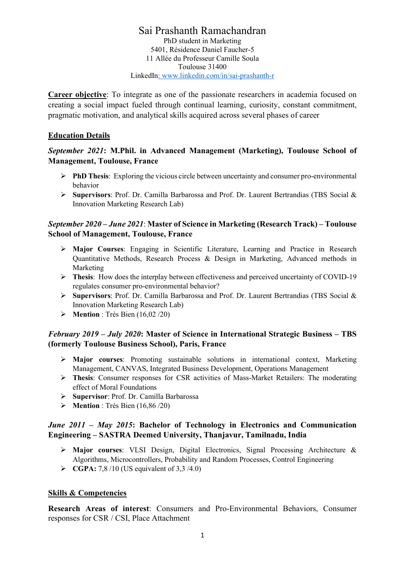Sai Prashanth Ramachandran PhD student in Marketing 5401, Résidence Daniel Faucher-5 11 Allée du Professeur Camille Soula Toulouse 31400 LinkedIn: www.linkedin.com/in/sai-prashanth-r

Career objective: To integrate as one of the passionate researchers in academia focused on creating a social impact fueled through continual learning, curiosity, constant commitment, pragmatic motivation, and analytical skills acquired across several phases of career

#### Education Details

#### September 2021: M.Phil. in Advanced Management (Marketing), Toulouse School of Management, Toulouse, France

- $\triangleright$  **PhD Thesis:** Exploring the vicious circle between uncertainty and consumer pro-environmental behavior
- Supervisors: Prof. Dr. Camilla Barbarossa and Prof. Dr. Laurent Bertrandias (TBS Social & Innovation Marketing Research Lab)

#### September 2020 – June 2021: Master of Science in Marketing (Research Track) – Toulouse School of Management, Toulouse, France

- Major Courses: Engaging in Scientific Literature, Learning and Practice in Research Quantitative Methods, Research Process & Design in Marketing, Advanced methods in Marketing
- Thesis: How does the interplay between effectiveness and perceived uncertainty of COVID-19 regulates consumer pro-environmental behavior?
- $\triangleright$  Supervisors: Prof. Dr. Camilla Barbarossa and Prof. Dr. Laurent Bertrandias (TBS Social & Innovation Marketing Research Lab)
- $\triangleright$  Mention : Très Bien (16,02/20)

### February 2019 – July 2020: Master of Science in International Strategic Business – TBS (formerly Toulouse Business School), Paris, France

- $\triangleright$  Major courses: Promoting sustainable solutions in international context, Marketing Management, CANVAS, Integrated Business Development, Operations Management
- Thesis: Consumer responses for CSR activities of Mass-Market Retailers: The moderating effect of Moral Foundations
- Supervisor: Prof. Dr. Camilla Barbarossa
- $\triangleright$  Mention : Très Bien (16,86/20)

#### June 2011 – May 2015: Bachelor of Technology in Electronics and Communication Engineering – SASTRA Deemed University, Thanjavur, Tamilnadu, India

- Major courses: VLSI Design, Digital Electronics, Signal Processing Architecture & Algorithms, Microcontrollers, Probability and Random Processes, Control Engineering
- $\triangleright$  CGPA: 7,8/10 (US equivalent of 3,3/4.0)

#### Skills & Competencies

Research Areas of interest: Consumers and Pro-Environmental Behaviors, Consumer responses for CSR / CSI, Place Attachment